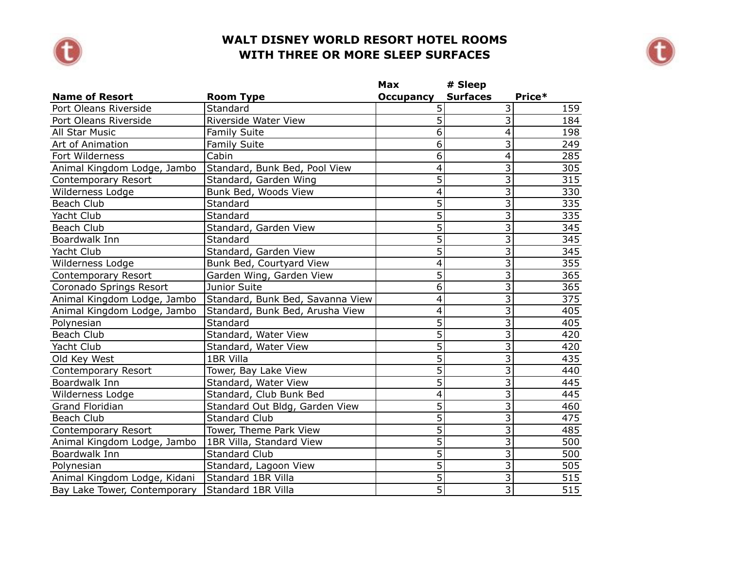



|                              |                                  | Max                     | # Sleep                   |                  |
|------------------------------|----------------------------------|-------------------------|---------------------------|------------------|
| <b>Name of Resort</b>        | <b>Room Type</b>                 | <b>Occupancy</b>        | <b>Surfaces</b>           | Price*           |
| Port Oleans Riverside        | Standard                         | 5                       | $\overline{\mathsf{c}}$   | 159              |
| Port Oleans Riverside        | Riverside Water View             | 5                       | $\overline{3}$            | 184              |
| All Star Music               | <b>Family Suite</b>              | 6                       | $\overline{4}$            | 198              |
| Art of Animation             | <b>Family Suite</b>              | 6                       | $\overline{\mathbf{3}}$   | 249              |
| Fort Wilderness              | Cabin                            | 6                       | 4                         | 285              |
| Animal Kingdom Lodge, Jambo  | Standard, Bunk Bed, Pool View    | 4                       | 3                         | 305              |
| Contemporary Resort          | Standard, Garden Wing            | $\overline{5}$          | $\overline{\mathbf{3}}$   | 315              |
| Wilderness Lodge             | Bunk Bed, Woods View             | $\overline{4}$          | $\overline{\overline{3}}$ | 330              |
| Beach Club                   | Standard                         | $\overline{5}$          | $\overline{\mathbf{3}}$   | 335              |
| Yacht Club                   | Standard                         | $\overline{5}$          | $\overline{3}$            | 335              |
| Beach Club                   | Standard, Garden View            | $\overline{5}$          | $\overline{3}$            | 345              |
| Boardwalk Inn                | Standard                         | $\overline{5}$          | $\overline{\mathbf{3}}$   | 345              |
| Yacht Club                   | Standard, Garden View            | $\overline{5}$          | $\overline{3}$            | 345              |
| Wilderness Lodge             | Bunk Bed, Courtyard View         | $\overline{4}$          | $\overline{3}$            | 355              |
| Contemporary Resort          | Garden Wing, Garden View         | $\overline{5}$          | $\overline{\mathbf{3}}$   | $\overline{365}$ |
| Coronado Springs Resort      | Junior Suite                     | $\overline{6}$          | $\overline{3}$            | 365              |
| Animal Kingdom Lodge, Jambo  | Standard, Bunk Bed, Savanna View | 4                       | $\overline{\mathbf{3}}$   | 375              |
| Animal Kingdom Lodge, Jambo  | Standard, Bunk Bed, Arusha View  | 4                       | $\overline{\mathbf{3}}$   | 405              |
| Polynesian                   | Standard                         | 5                       | $\overline{3}$            | 405              |
| Beach Club                   | Standard, Water View             | $\overline{5}$          | 3                         | 420              |
| Yacht Club                   | Standard, Water View             | $\overline{5}$          | $\overline{\mathbf{3}}$   | 420              |
| Old Key West                 | 1BR Villa                        | $\overline{5}$          | $\overline{\mathbf{3}}$   | 435              |
| Contemporary Resort          | Tower, Bay Lake View             | $\overline{5}$          | $\overline{3}$            | 440              |
| Boardwalk Inn                | Standard, Water View             | $\overline{5}$          | $\overline{\overline{3}}$ | 445              |
| Wilderness Lodge             | Standard, Club Bunk Bed          | $\overline{\mathbf{4}}$ | $\overline{\mathbf{3}}$   | 445              |
| Grand Floridian              | Standard Out Bldg, Garden View   | 5                       | $\overline{\mathbf{3}}$   | 460              |
| Beach Club                   | <b>Standard Club</b>             | $\overline{5}$          | $\overline{\mathbf{3}}$   | 475              |
| Contemporary Resort          | Tower, Theme Park View           | $\overline{5}$          | $\overline{3}$            | 485              |
| Animal Kingdom Lodge, Jambo  | 1BR Villa, Standard View         | $\overline{5}$          | $\overline{3}$            | 500              |
| Boardwalk Inn                | <b>Standard Club</b>             | $\overline{5}$          | $\overline{3}$            | 500              |
| Polynesian                   | Standard, Lagoon View            | $\overline{5}$          | $\overline{\overline{3}}$ | 505              |
| Animal Kingdom Lodge, Kidani | Standard 1BR Villa               | $\overline{5}$          | $\overline{3}$            | $\overline{515}$ |
| Bay Lake Tower, Contemporary | Standard 1BR Villa               | 5                       | $\overline{3}$            | 515              |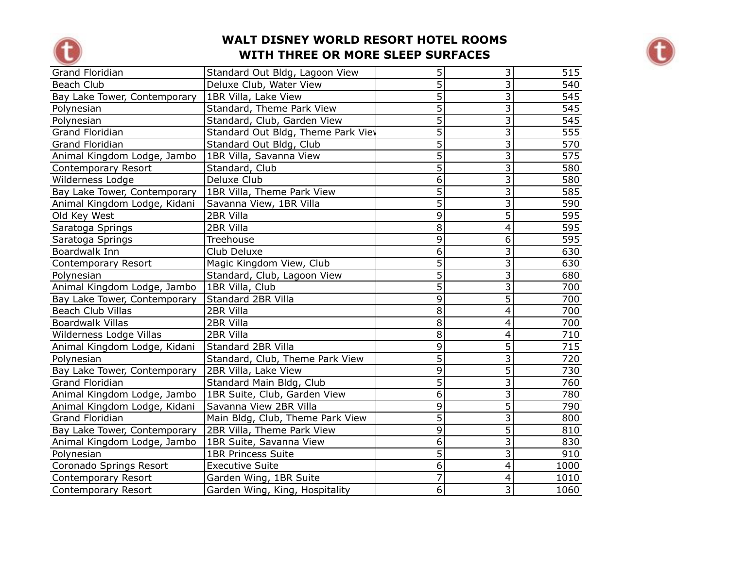



| <b>Grand Floridian</b>       | Standard Out Bldg, Lagoon View     | 5              | $\overline{3}$            | 515              |
|------------------------------|------------------------------------|----------------|---------------------------|------------------|
| <b>Beach Club</b>            | Deluxe Club, Water View            | $\overline{5}$ | $\overline{3}$            | 540              |
| Bay Lake Tower, Contemporary | 1BR Villa, Lake View               | $\overline{5}$ | $\overline{3}$            | 545              |
| Polynesian                   | Standard, Theme Park View          | $\overline{5}$ | $\overline{\mathbf{3}}$   | 545              |
| Polynesian                   | Standard, Club, Garden View        | $\overline{5}$ | $\overline{\overline{3}}$ | 545              |
| <b>Grand Floridian</b>       | Standard Out Bldg, Theme Park View | 5              | $\overline{\overline{3}}$ | 555              |
| Grand Floridian              | Standard Out Bldg, Club            | $\overline{5}$ | $\overline{\mathbf{3}}$   | 570              |
| Animal Kingdom Lodge, Jambo  | 1BR Villa, Savanna View            | $\overline{5}$ | $\overline{3}$            | 575              |
| Contemporary Resort          | Standard, Club                     | $\overline{5}$ | $\overline{3}$            | 580              |
| Wilderness Lodge             | Deluxe Club                        | 6              | $\overline{3}$            | 580              |
| Bay Lake Tower, Contemporary | 1BR Villa, Theme Park View         | 5              | 3                         | 585              |
| Animal Kingdom Lodge, Kidani | Savanna View, 1BR Villa            | $\overline{5}$ | $\overline{\overline{3}}$ | $\overline{590}$ |
| Old Key West                 | 2BR Villa                          | 9              | $\overline{5}$            | 595              |
| Saratoga Springs             | 2BR Villa                          | 8              | $\overline{4}$            | 595              |
| Saratoga Springs             | <b>Treehouse</b>                   | $\overline{9}$ | $\overline{6}$            | 595              |
| Boardwalk Inn                | Club Deluxe                        | $\overline{6}$ | $\overline{3}$            | 630              |
| Contemporary Resort          | Magic Kingdom View, Club           | $\overline{5}$ | $\overline{\overline{3}}$ | 630              |
| Polynesian                   | Standard, Club, Lagoon View        | $\overline{5}$ | $\overline{3}$            | 680              |
| Animal Kingdom Lodge, Jambo  | 1BR Villa, Club                    | $\overline{5}$ | $\overline{\overline{3}}$ | 700              |
| Bay Lake Tower, Contemporary | Standard 2BR Villa                 | 9              | 5                         | 700              |
| <b>Beach Club Villas</b>     | 2BR Villa                          | 8              | $\overline{4}$            | 700              |
| <b>Boardwalk Villas</b>      | 2BR Villa                          | 8              | 4                         | 700              |
| Wilderness Lodge Villas      | 2BR Villa                          | 8              | 4                         | 710              |
| Animal Kingdom Lodge, Kidani | Standard 2BR Villa                 | 9              | $\overline{5}$            | $\overline{715}$ |
| Polynesian                   | Standard, Club, Theme Park View    | $\overline{5}$ | $\overline{3}$            | 720              |
| Bay Lake Tower, Contemporary | 2BR Villa, Lake View               | 9              | $\overline{5}$            | 730              |
| <b>Grand Floridian</b>       | Standard Main Bldg, Club           | 5              | $\overline{3}$            | 760              |
| Animal Kingdom Lodge, Jambo  | 1BR Suite, Club, Garden View       | 6              | $\overline{3}$            | 780              |
| Animal Kingdom Lodge, Kidani | Savanna View 2BR Villa             | $\overline{9}$ | $\overline{5}$            | 790              |
| <b>Grand Floridian</b>       | Main Bldg, Club, Theme Park View   | $\overline{5}$ | $\overline{3}$            | 800              |
| Bay Lake Tower, Contemporary | 2BR Villa, Theme Park View         | 9              | $\overline{5}$            | 810              |
| Animal Kingdom Lodge, Jambo  | 1BR Suite, Savanna View            | 6              | $\overline{\overline{3}}$ | 830              |
| Polynesian                   | <b>1BR Princess Suite</b>          | $\overline{5}$ | $\overline{3}$            | 910              |
| Coronado Springs Resort      | <b>Executive Suite</b>             | 6              | $\overline{\mathsf{A}}$   | 1000             |
| Contemporary Resort          | Garden Wing, 1BR Suite             | $\overline{7}$ | $\overline{4}$            | 1010             |
| Contemporary Resort          | Garden Wing, King, Hospitality     | $\overline{6}$ | $\overline{3}$            | 1060             |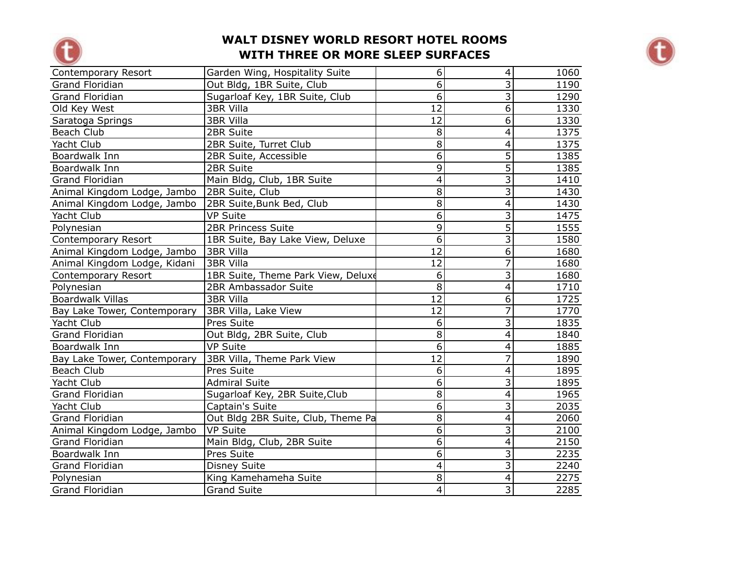



| Contemporary Resort          | Garden Wing, Hospitality Suite     | 6               | $\overline{\mathcal{A}}$ | 1060 |
|------------------------------|------------------------------------|-----------------|--------------------------|------|
| <b>Grand Floridian</b>       | Out Bldg, 1BR Suite, Club          | $\overline{6}$  | $\overline{3}$           | 1190 |
| Grand Floridian              | Sugarloaf Key, 1BR Suite, Club     | $\overline{6}$  | $\overline{3}$           | 1290 |
| Old Key West                 | <b>3BR Villa</b>                   | 12              | $\overline{6}$           | 1330 |
| Saratoga Springs             | 3BR Villa                          | 12              | $\overline{6}$           | 1330 |
| Beach Club                   | 2BR Suite                          | 8               | $\overline{4}$           | 1375 |
| Yacht Club                   | 2BR Suite, Turret Club             | 8               | $\overline{4}$           | 1375 |
| Boardwalk Inn                | 2BR Suite, Accessible              | 6               | $\overline{5}$           | 1385 |
| Boardwalk Inn                | 2BR Suite                          | 9               | $\overline{5}$           | 1385 |
| Grand Floridian              | Main Bldg, Club, 1BR Suite         | 4               | $\overline{3}$           | 1410 |
| Animal Kingdom Lodge, Jambo  | 2BR Suite, Club                    | 8               | 3                        | 1430 |
| Animal Kingdom Lodge, Jambo  | 2BR Suite, Bunk Bed, Club          | 8               | $\overline{4}$           | 1430 |
| Yacht Club                   | <b>VP Suite</b>                    | $\overline{6}$  | $\overline{3}$           | 1475 |
| Polynesian                   | <b>2BR Princess Suite</b>          | 9               | $\overline{5}$           | 1555 |
| Contemporary Resort          | 1BR Suite, Bay Lake View, Deluxe   | 6               | $\overline{3}$           | 1580 |
| Animal Kingdom Lodge, Jambo  | 3BR Villa                          | $\overline{12}$ | $\overline{6}$           | 1680 |
| Animal Kingdom Lodge, Kidani | <b>3BR Villa</b>                   | $\overline{12}$ | $\overline{7}$           | 1680 |
| Contemporary Resort          | 1BR Suite, Theme Park View, Deluxe | 6               | $\overline{3}$           | 1680 |
| Polynesian                   | 2BR Ambassador Suite               | $\overline{8}$  | $\overline{4}$           | 1710 |
| <b>Boardwalk Villas</b>      | <b>3BR Villa</b>                   | 12              | $\overline{6}$           | 1725 |
| Bay Lake Tower, Contemporary | 3BR Villa, Lake View               | 12              | 7                        | 1770 |
| Yacht Club                   | Pres Suite                         | 6               | $\overline{3}$           | 1835 |
| <b>Grand Floridian</b>       | Out Bldg, 2BR Suite, Club          | 8               | $\overline{4}$           | 1840 |
| Boardwalk Inn                | <b>VP Suite</b>                    | 6               | 4                        | 1885 |
| Bay Lake Tower, Contemporary | 3BR Villa, Theme Park View         | $\overline{12}$ | 7                        | 1890 |
| Beach Club                   | Pres Suite                         | 6               | $\overline{4}$           | 1895 |
| Yacht Club                   | <b>Admiral Suite</b>               | $\overline{6}$  | $\overline{3}$           | 1895 |
| <b>Grand Floridian</b>       | Sugarloaf Key, 2BR Suite, Club     | 8               | $\overline{4}$           | 1965 |
| Yacht Club                   | Captain's Suite                    | $\overline{6}$  | $\overline{3}$           | 2035 |
| <b>Grand Floridian</b>       | Out Bldg 2BR Suite, Club, Theme Pa | $\overline{8}$  | $\overline{4}$           | 2060 |
| Animal Kingdom Lodge, Jambo  | <b>VP Suite</b>                    | $\overline{6}$  | $\overline{\mathbf{3}}$  | 2100 |
| <b>Grand Floridian</b>       | Main Bldg, Club, 2BR Suite         | 6               | $\overline{4}$           | 2150 |
| Boardwalk Inn                | Pres Suite                         | 6               | $\overline{3}$           | 2235 |
| <b>Grand Floridian</b>       | <b>Disney Suite</b>                | 4               | $\overline{3}$           | 2240 |
| Polynesian                   | King Kamehameha Suite              | 8               | $\overline{\mathbf{4}}$  | 2275 |
| <b>Grand Floridian</b>       | <b>Grand Suite</b>                 | 4               | $\overline{3}$           | 2285 |